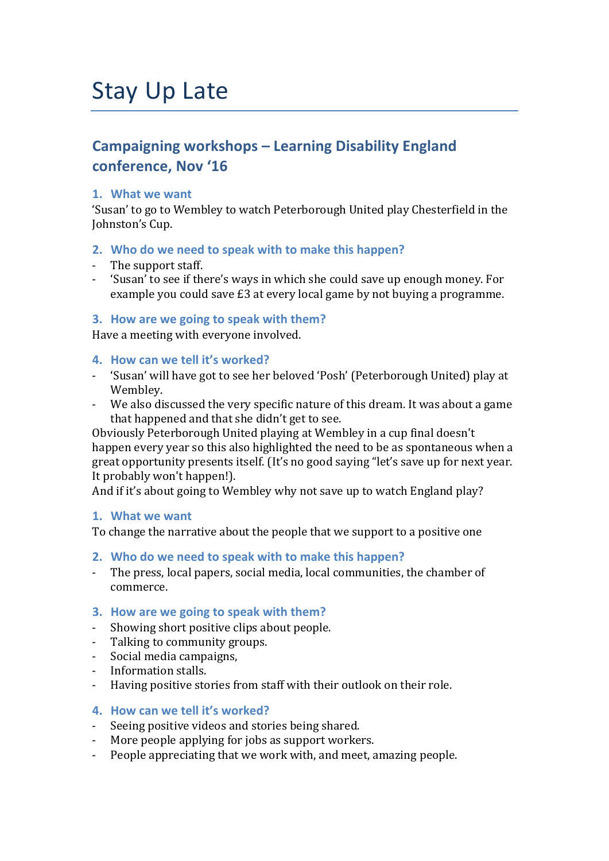# Stay Up Late

# **Campaigning workshops - Learning Disability England conference, Nov '16**

# 1. What we want

'Susan' to go to Wembley to watch Peterborough United play Chesterfield in the Johnston's Cup.

# 2. Who do we need to speak with to make this happen?

- The support staff.
- 'Susan' to see if there's ways in which she could save up enough money. For example you could save  $£3$  at every local game by not buying a programme.

# **3.** How are we going to speak with them?

Have a meeting with everyone involved.

# **4. How can we tell it's worked?**

- 'Susan' will have got to see her beloved 'Posh' (Peterborough United) play at Wembley.
- We also discussed the very specific nature of this dream. It was about a game that happened and that she didn't get to see.

Obviously Peterborough United playing at Wembley in a cup final doesn't happen every year so this also highlighted the need to be as spontaneous when a great opportunity presents itself. (It's no good saying "let's save up for next year. It probably won't happen!).

And if it's about going to Wembley why not save up to watch England play?

# 1. What we want

To change the narrative about the people that we support to a positive one

- **2.** Who do we need to speak with to make this happen?
- The press, local papers, social media, local communities, the chamber of commerce.
- **3.** How are we going to speak with them?
- Showing short positive clips about people.
- Talking to community groups.
- Social media campaigns,
- Information stalls.
- Having positive stories from staff with their outlook on their role.

#### **4. How can we tell it's worked?**

- Seeing positive videos and stories being shared.
- More people applying for jobs as support workers.
- People appreciating that we work with, and meet, amazing people.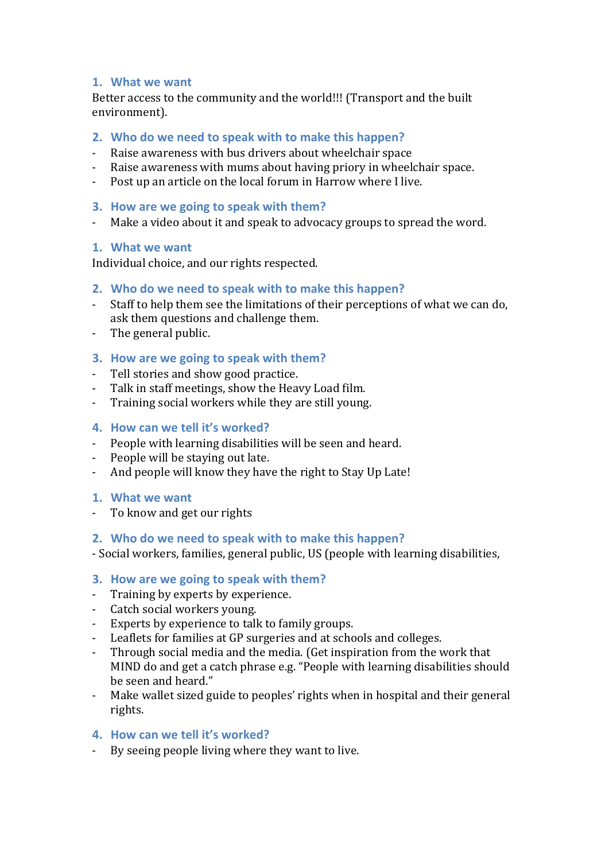#### 1. What we want

Better access to the community and the world!!! (Transport and the built environment).

# **2.** Who do we need to speak with to make this happen?

- Raise awareness with bus drivers about wheelchair space
- Raise awareness with mums about having priory in wheelchair space.
- Post up an article on the local forum in Harrow where I live.

#### **3.** How are we going to speak with them?

- Make a video about it and speak to advocacy groups to spread the word.

#### 1. What we want

Individual choice, and our rights respected.

# **2.** Who do we need to speak with to make this happen?

- Staff to help them see the limitations of their perceptions of what we can do, ask them questions and challenge them.
- The general public.

# **3.** How are we going to speak with them?

- Tell stories and show good practice.
- Talk in staff meetings, show the Heavy Load film.
- Training social workers while they are still young.

# **4. How can we tell it's worked?**

- People with learning disabilities will be seen and heard.
- People will be staying out late.
- And people will know they have the right to Stay Up Late!

#### 1. What we want

- To know and get our rights

#### **2.** Who do we need to speak with to make this happen?

- Social workers, families, general public, US (people with learning disabilities,

#### **3.** How are we going to speak with them?

- Training by experts by experience.
- Catch social workers young.
- Experts by experience to talk to family groups.
- Leaflets for families at GP surgeries and at schools and colleges.
- Through social media and the media. (Get inspiration from the work that MIND do and get a catch phrase e.g. "People with learning disabilities should be seen and heard."
- Make wallet sized guide to peoples' rights when in hospital and their general rights.

#### **4. How can we tell it's worked?**

By seeing people living where they want to live.